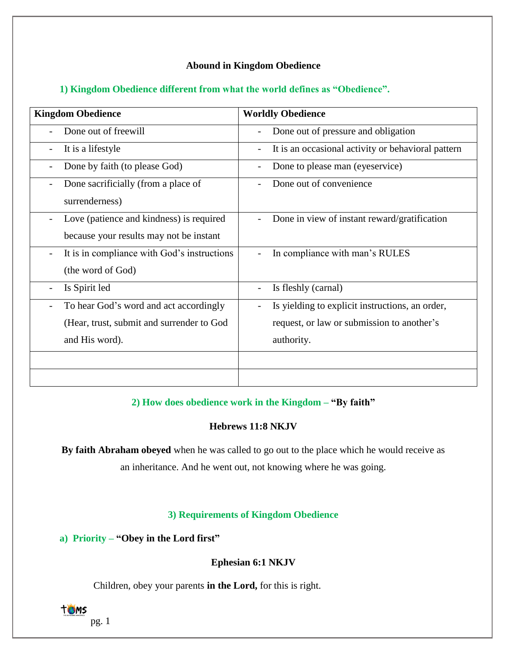# **Abound in Kingdom Obedience**

## **1) Kingdom Obedience different from what the world defines as "Obedience".**

| <b>Kingdom Obedience</b>                    | <b>Worldly Obedience</b>                                             |
|---------------------------------------------|----------------------------------------------------------------------|
| Done out of freewill                        | Done out of pressure and obligation                                  |
| It is a lifestyle                           | It is an occasional activity or behavioral pattern                   |
| Done by faith (to please God)               | Done to please man (eyeservice)                                      |
| Done sacrificially (from a place of         | Done out of convenience                                              |
| surrenderness)                              |                                                                      |
| Love (patience and kindness) is required    | Done in view of instant reward/gratification                         |
| because your results may not be instant     |                                                                      |
| It is in compliance with God's instructions | In compliance with man's RULES                                       |
| (the word of God)                           |                                                                      |
| Is Spirit led                               | Is fleshly (carnal)                                                  |
| To hear God's word and act accordingly      | Is yielding to explicit instructions, an order,<br>$\qquad \qquad -$ |
| (Hear, trust, submit and surrender to God   | request, or law or submission to another's                           |
| and His word).                              | authority.                                                           |
|                                             |                                                                      |
|                                             |                                                                      |

# **2) How does obedience work in the Kingdom – "By faith"**

## **Hebrews 11:8 NKJV**

**By faith Abraham obeyed** when he was called to go out to the place which he would receive as an inheritance. And he went out, not knowing where he was going.

## **3) Requirements of Kingdom Obedience**

**a) Priority – "Obey in the Lord first"**

# **Ephesian 6:1 NKJV**

Children, obey your parents **in the Lord,** for this is right.



pg. 1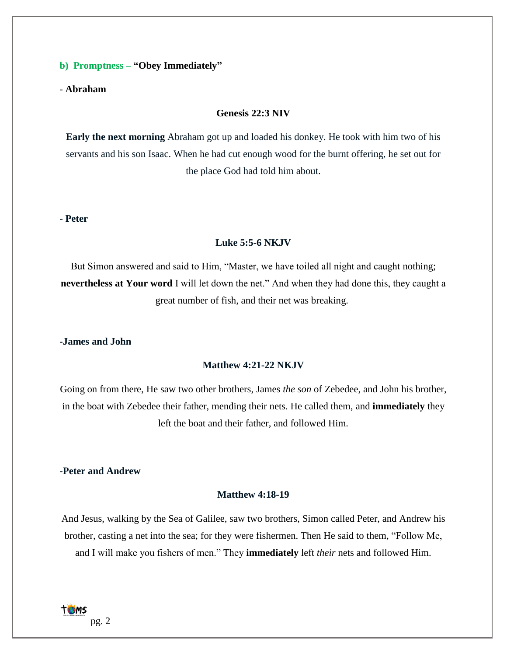#### **b) Promptness – "Obey Immediately"**

- **Abraham**

#### **Genesis 22:3 NIV**

**Early the next morning** Abraham got up and loaded his donkey. He took with him two of his servants and his son Isaac. When he had cut enough wood for the burnt offering, he set out for the place God had told him about.

#### - **Peter**

#### **Luke 5:5-6 NKJV**

But Simon answered and said to Him, "Master, we have toiled all night and caught nothing; **nevertheless at Your word** I will let down the net." And when they had done this, they caught a great number of fish, and their net was breaking.

#### **-James and John**

#### **Matthew 4:21-22 NKJV**

Going on from there, He saw two other brothers, James *the son* of Zebedee, and John his brother, in the boat with Zebedee their father, mending their nets. He called them, and **immediately** they left the boat and their father, and followed Him.

### **-Peter and Andrew**

#### **Matthew 4:18-19**

And Jesus, walking by the Sea of Galilee, saw two brothers, Simon called Peter, and Andrew his brother, casting a net into the sea; for they were fishermen. Then He said to them, "Follow Me, and I will make you fishers of men." They **immediately** left *their* nets and followed Him.